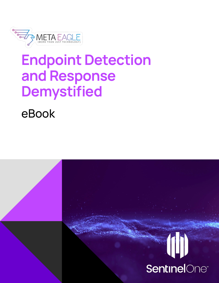

## Endpoint Detection and Response Demystified

eBook

# **SentinelOne**®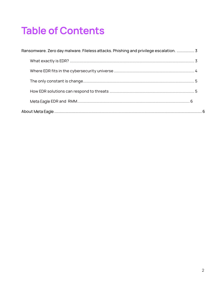## **Table of Contents**

| Ransomware. Zero day malware. Fileless attacks. Phishing and privilege escalation.  3 |  |
|---------------------------------------------------------------------------------------|--|
|                                                                                       |  |
|                                                                                       |  |
|                                                                                       |  |
|                                                                                       |  |
|                                                                                       |  |
|                                                                                       |  |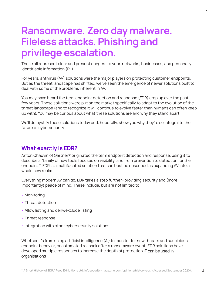### Ransomware. Zero day malware. Fileless attacks. Phishing and privilege escalation.

These all represent clear and present dangers to your networks, businesses, and personally identifiable information (PII).

For years, antivirus (AV) solutions were the major players on protecting customer endpoints. But as the threat landscape has shifted, we've seen the emergence of newer solutions built to deal with some of the problems inherent in AV.

You may have heard the term endpoint detection and response (EDR) crop up over the past few years. These solutions were put on the market specifically to adapt to the evolution of the threat landscape (and to recognize it will continue to evolve faster than humans can often keep up with). You may be curious about what these solutions are and why they stand apart.

We'll demystify these solutions today and, hopefully, show you why they're so integral to the future of cybersecurity.

#### What exactly is EDR?

Anton Chauvin of Gartner® originated the term endpoint detection and response, using it to describe a "family of new tools focused on visibility, and from prevention to detection for the endpoint."<sup>1</sup> EDR is a multifaceted solution that can best be described as expanding AV into a whole new realm.

Everything modern AV can do, EDR takes a step further—providing security and (more importantly) peace of mind. These include, but are not limited to:

- Monitoring
- Threat detection
- Allow listing and deny/exclude listing
- Threat response
- Integration with other cybersecurity solutions

Whether it's from using artificial intelligence (AI) to monitor for new threats and suspicious endpoint behavior, or automated rollback after a ransomware event, EDR solutions have developed multiple responses to increase the depth of protection IT can be used in organisations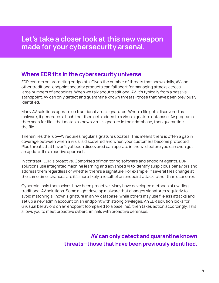#### Where EDR fits in the cybersecurity universe

EDR centers on protecting endpoints. Given the number of threats that spawn daily, AV and other traditional endpoint security products can fall short for managing attacks across large numbers of endpoints. When we talk about traditional AV, it's typically from a passive standpoint. AV can only detect and quarantine known threats—those that have been previously identified.

Many AV solutions operate on traditional virus signatures. When a file gets discovered as malware, it generates a hash that then gets added to a virus signature database. AV programs then scan for files that match a known virus signature in their database, then quarantine the file.

Therein lies the rub—AV requires regular signature updates. This means there is often a gap in coverage between when a virus is discovered and when your customers become protected. Plus threats that haven't yet been discovered can operate in the wild before you can even get an update. It's a reactive approach.

In contrast, EDR is proactive. Comprised of monitoring software and endpoint agents, EDR solutions use integrated machine learning and advanced AI to identify suspicious behaviors and address them regardless of whether there's a signature. For example, if several files change at the same time, chances are it's more likely a result of an endpoint attack rather than user error.

Cybercriminals themselves have been proactive. Many have developed methods of evading traditional AV solutions. Some might develop malware that changes signatures regularly to avoid matching a known signature in an AV database, while others may use fileless attacks and set up a new admin account on an endpoint with strong privileges. An EDR solution looks for unusual behaviors on an endpoint (compared to a baseline), then takes action accordingly. This allows you to meet proactive cybercriminals with proactive defenses.

> AV can only detect and quarantine known threats—those that have been previously identified.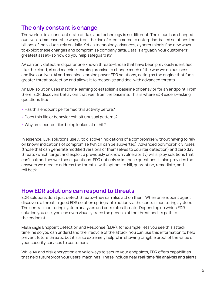#### The only constant is change

The world is in a constant state of flux, and technology is no different. The cloud has changed our lives in immeasurable ways, from the rise of e-commerce to enterprise-based solutions that billions of individuals rely on daily. Yet as technology advances, cybercriminals find new ways to exploit these changes and compromise company data. Data is arguably your customers' greatest asset—so how do you help safeguard it?

AV can only detect and quarantine known threats—those that have been previously identified. Like the cloud, AI and machine learning promise to change much of the way we do business and live our lives. AI and machine learning power EDR solutions, acting as the engine that fuels greater threat protection and allows it to recognise and deal with advanced threats.

An EDR solution uses machine learning to establish a baseline of behavior for an endpoint. From there, EDR discovers behaviors that veer from the baseline. This is where EDR excels—asking questions like:

- •Has this endpoint performed this activity before?
- •Does this file or behavior exhibit unusual patterns?
- Why are secured files being looked at or hit?

In essence, EDR solutions use AI to discover indications of a compromise without having to rely on known indications of compromise (which can be subverted). Advanced polymorphic viruses (those that can generate modified versions of themselves to counter detection) and zero day threats (which target and exploit a previously unknown vulnerability) will slip by solutions that can't ask and answer these questions. EDR not only asks these questions; it also provides the answers we need to address the threats—with options to kill, quarantine, remediate, and roll back.

#### How EDR solutions can respond to threats

EDR solutions don't just detect threats—they can also act on them. When an endpoint agent discovers a threat, a good EDR solution springs into action via the central monitoring system. The central monitoring system analyzes and correlates threats. Depending on which EDR solution you use, you can even visually trace the genesis of the threat and its path to the endpoint.

Meta Eagle Endpoint Detection and Response (EDR), for example, lets you see this attack timeline so you can understand the lifecycle of the attack. You can use this information to help prevent future threats, but it's also extremely helpful in showing tangible proof of the value of your security services to customers.

While AV and disk encryption are valid ways to secure your endpoints, EDR offers capabilities that help futureproof your users' machines. These include near real-time file analysis and alerts,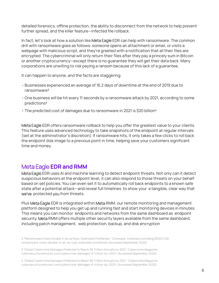detailed forensics, offline protection, the ability to disconnect from the network to help prevent further spread, and the killer feature—infected file rollback.

In fact, let's look at how a solution like Meta Eagle EDR can help with ransomware. The common drill with ransomware goes as follows: someone opens an attachment or email, or visits a webpage with malicious script, and they're greeted with a notification that all their files are encrypted. The cybercriminal will only return their files after they pay a princely sum in Bitcoin or another cryptocurrency—except there is no guarantee they will get their data back. Many corporations are unwilling to risk paying a ransom because of this lack of a guarantee.

It can happen to anyone, and the facts are staggering:

- Businesses experienced an average of 16.2 days of downtime at the end of 2019 due to ransomware²
- One business will be hit every 11 seconds by a ransomware attack by 2021, according to some predictions<sup>3</sup>
- The predicted cost of damages due to ransomware in 2021 is \$20 billion<sup>4</sup>

Meta Eagle EDR offers ransomware rollback to help you offer the greatest value to your clients. This feature uses advanced technology to take snapshots of the endpoint at regular intervals (set at the administrator's discretion). If ransomware hits, it only takes a few clicks to roll back the endpoint disk image to a previous point in time, helping save your customers significant time and money.

#### Meta Eagle EDR and RMM

Meta Eagle EDR uses AI and machine learning to detect endpoint threats. Not only can it detect suspicious behaviors at the endpoint level, it can also respond to those threats on your behalf based on set policies. You can even set it to automatically roll back endpoints to a known safe state after a potential attack—and reveal full timelines to show your a tangible, clear way that we've protected you from threats.

Plus Meta Eagle EDR is integrated within Meta RMM, our remote monitoring and management platform designed to help you get up and running fast and start monitoring devices in minutes. This means you can monitor endpoints and networks from the same dashboard as endpoint security. Meta RMM offers multiple other security layers available from the same dashboard, including patch management, web protection, backup, and disk encryption

2 "Ransomware Costs Double in Q4 as Ryuk, Sodinokibi Proliferate," Coveware. coveware.com/blog/2020/1/22/ ransomware-costs-double-in-q4-as-ryuk-sodinokibi-proliferate (Accessed September 2020).

3 "Global Cybercrime Damages Predicted to Reach \$6 Trillion Annually by 2021," Cybercrime Magazine. cybersecurityventures.com/cybercrime-damages-6-trillion-by-2021/ (Accessed September 2020).

4 "Global Cybercrime Damages Predicted to Reach \$6 Trillion Annually by 2021," Cybercrime Magazine. cybersecurityventures.com/cybercrime-damages-6-trillion-by-2021/ (Accessed September 2020).